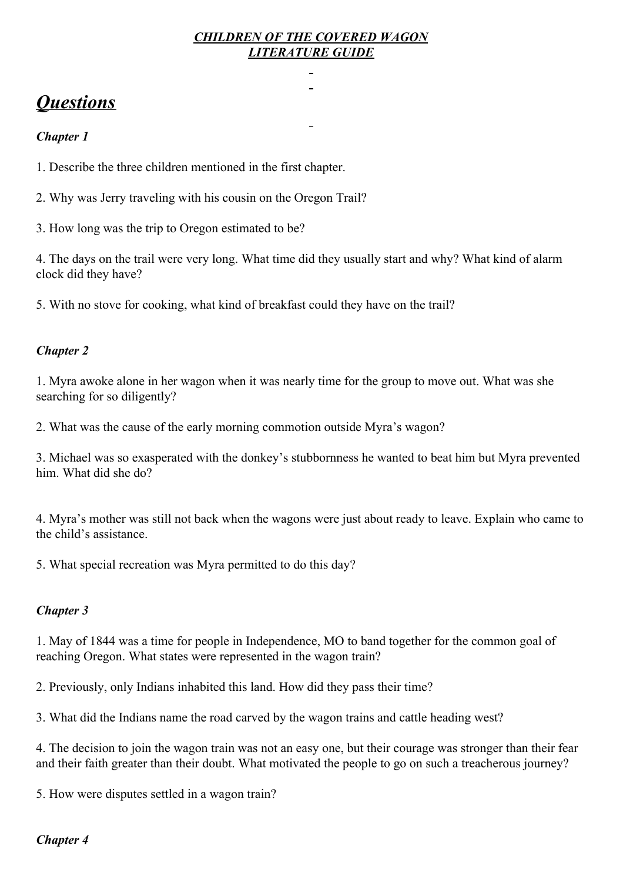## *CHILDREN OF THE COVERED WAGON LITERATURE GUIDE*

 $\overline{a}$ 

# *Questions*

## *Chapter 1*

1. Describe the three children mentioned in the first chapter.

2. Why was Jerry traveling with his cousin on the Oregon Trail?

3. How long was the trip to Oregon estimated to be?

4. The days on the trail were very long. What time did they usually start and why? What kind of alarm clock did they have?

5. With no stove for cooking, what kind of breakfast could they have on the trail?

## *Chapter 2*

1. Myra awoke alone in her wagon when it was nearly time for the group to move out. What was she searching for so diligently?

2. What was the cause of the early morning commotion outside Myra's wagon?

3. Michael was so exasperated with the donkey's stubbornness he wanted to beat him but Myra prevented him. What did she do?

4. Myra's mother was still not back when the wagons were just about ready to leave. Explain who came to the child's assistance.

5. What special recreation was Myra permitted to do this day?

## *Chapter 3*

1. May of 1844 was a time for people in Independence, MO to band together for the common goal of reaching Oregon. What states were represented in the wagon train?

2. Previously, only Indians inhabited this land. How did they pass their time?

3. What did the Indians name the road carved by the wagon trains and cattle heading west?

4. The decision to join the wagon train was not an easy one, but their courage was stronger than their fear and their faith greater than their doubt. What motivated the people to go on such a treacherous journey?

5. How were disputes settled in a wagon train?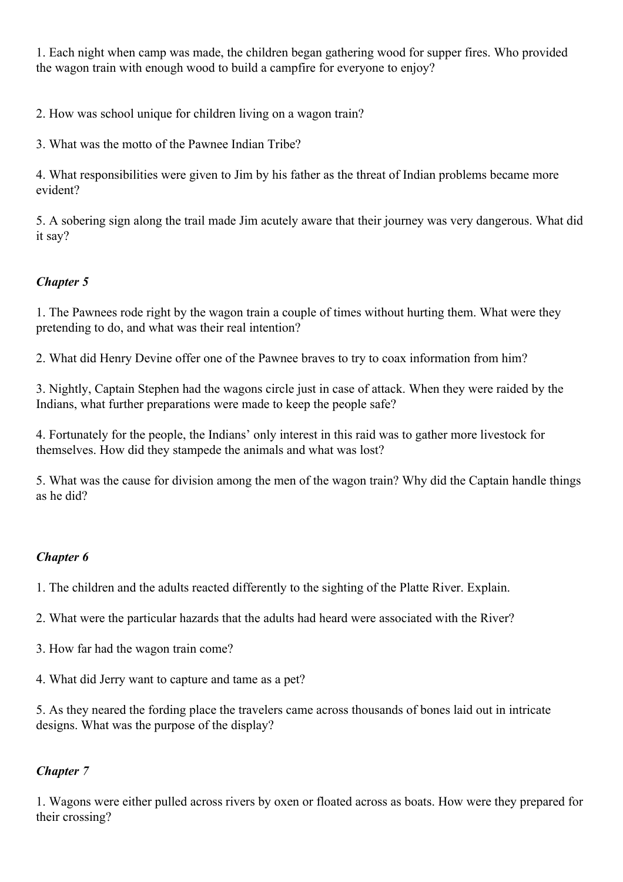1. Each night when camp was made, the children began gathering wood for supper fires. Who provided the wagon train with enough wood to build a campfire for everyone to enjoy?

2. How was school unique for children living on a wagon train?

3. What was the motto of the Pawnee Indian Tribe?

4. What responsibilities were given to Jim by his father as the threat of Indian problems became more evident?

5. A sobering sign along the trail made Jim acutely aware that their journey was very dangerous. What did it say?

# *Chapter 5*

1. The Pawnees rode right by the wagon train a couple of times without hurting them. What were they pretending to do, and what was their real intention?

2. What did Henry Devine offer one of the Pawnee braves to try to coax information from him?

3. Nightly, Captain Stephen had the wagons circle just in case of attack. When they were raided by the Indians, what further preparations were made to keep the people safe?

4. Fortunately for the people, the Indians' only interest in this raid was to gather more livestock for themselves. How did they stampede the animals and what was lost?

5. What was the cause for division among the men of the wagon train? Why did the Captain handle things as he did?

## *Chapter 6*

1. The children and the adults reacted differently to the sighting of the Platte River. Explain.

2. What were the particular hazards that the adults had heard were associated with the River?

- 3. How far had the wagon train come?
- 4. What did Jerry want to capture and tame as a pet?

5. As they neared the fording place the travelers came across thousands of bones laid out in intricate designs. What was the purpose of the display?

# *Chapter 7*

1. Wagons were either pulled across rivers by oxen or floated across as boats. How were they prepared for their crossing?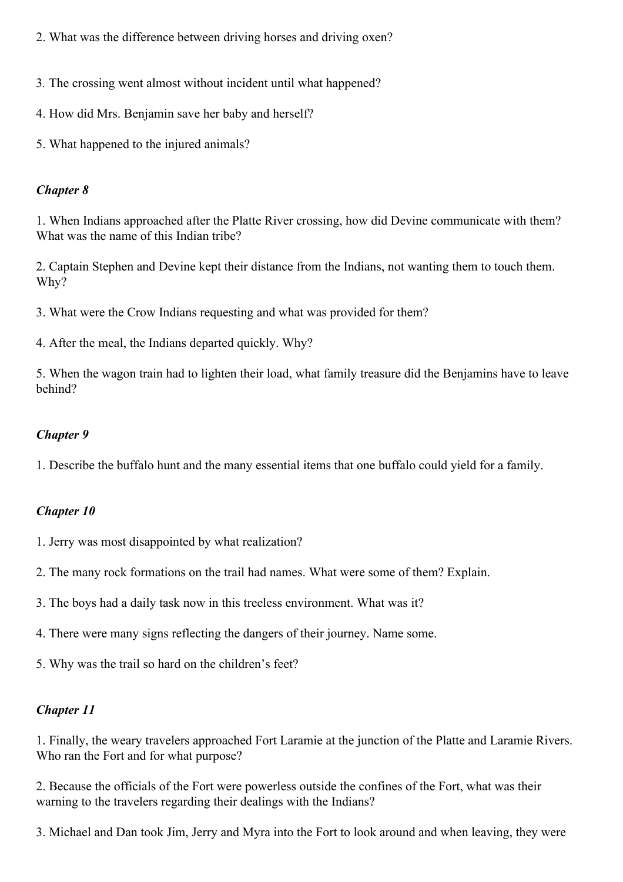- 2. What was the difference between driving horses and driving oxen?
- 3*.* The crossing went almost without incident until what happened?
- 4. How did Mrs. Benjamin save her baby and herself?
- 5. What happened to the injured animals?

1. When Indians approached after the Platte River crossing, how did Devine communicate with them? What was the name of this Indian tribe?

2. Captain Stephen and Devine kept their distance from the Indians, not wanting them to touch them. Why?

3. What were the Crow Indians requesting and what was provided for them?

4. After the meal, the Indians departed quickly. Why?

5. When the wagon train had to lighten their load, what family treasure did the Benjamins have to leave behind?

#### *Chapter 9*

1. Describe the buffalo hunt and the many essential items that one buffalo could yield for a family.

## *Chapter 10*

- 1. Jerry was most disappointed by what realization?
- 2. The many rock formations on the trail had names. What were some of them? Explain.
- 3. The boys had a daily task now in this treeless environment. What was it?
- 4. There were many signs reflecting the dangers of their journey. Name some.
- 5. Why was the trail so hard on the children's feet?

## *Chapter 11*

1. Finally, the weary travelers approached Fort Laramie at the junction of the Platte and Laramie Rivers. Who ran the Fort and for what purpose?

2. Because the officials of the Fort were powerless outside the confines of the Fort, what was their warning to the travelers regarding their dealings with the Indians?

3. Michael and Dan took Jim, Jerry and Myra into the Fort to look around and when leaving, they were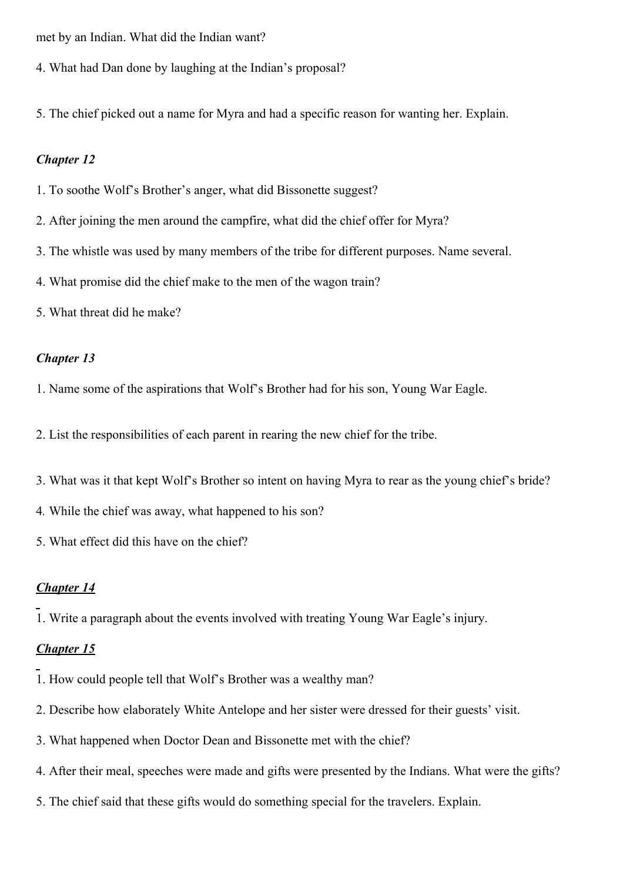met by an Indian. What did the Indian want?

- 4. What had Dan done by laughing at the Indian's proposal?
- 5. The chief picked out a name for Myra and had a specific reason for wanting her. Explain.

#### *Chapter 12*

- 1. To soothe Wolf's Brother's anger, what did Bissonette suggest?
- 2. After joining the men around the campfire, what did the chief offer for Myra?
- 3. The whistle was used by many members of the tribe for different purposes. Name several.
- 4. What promise did the chief make to the men of the wagon train?
- 5. What threat did he make?

#### *Chapter 13*

- 1. Name some of the aspirations that Wolf's Brother had for his son, Young War Eagle.
- 2. List the responsibilities of each parent in rearing the new chief for the tribe.
- 3. What was it that kept Wolf's Brother so intent on having Myra to rear as the young chief's bride?
- 4*.* While the chief was away, what happened to his son?
- 5. What effect did this have on the chief?

#### *Chapter 14*

1. Write a paragraph about the events involved with treating Young War Eagle's injury.

- 1. How could people tell that Wolf's Brother was a wealthy man?
- 2. Describe how elaborately White Antelope and her sister were dressed for their guests' visit.
- 3. What happened when Doctor Dean and Bissonette met with the chief?
- 4. After their meal, speeches were made and gifts were presented by the Indians. What were the gifts?
- 5. The chief said that these gifts would do something special for the travelers. Explain.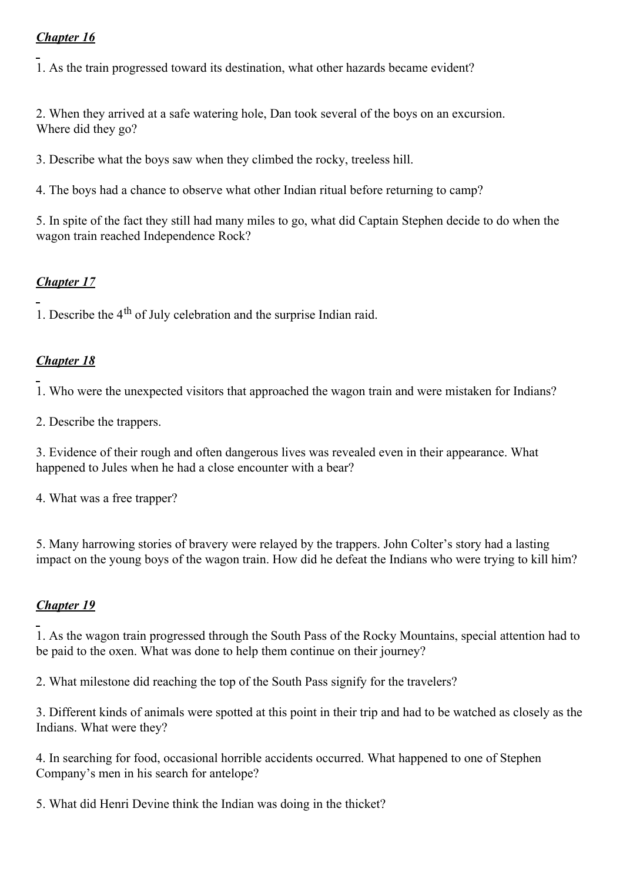1. As the train progressed toward its destination, what other hazards became evident?

2. When they arrived at a safe watering hole, Dan took several of the boys on an excursion. Where did they go?

3. Describe what the boys saw when they climbed the rocky, treeless hill.

4. The boys had a chance to observe what other Indian ritual before returning to camp?

5. In spite of the fact they still had many miles to go, what did Captain Stephen decide to do when the wagon train reached Independence Rock?

# *Chapter 17*

1. Describe the 4<sup>th</sup> of July celebration and the surprise Indian raid.

# *Chapter 18*

1. Who were the unexpected visitors that approached the wagon train and were mistaken for Indians?

2. Describe the trappers.

3. Evidence of their rough and often dangerous lives was revealed even in their appearance. What happened to Jules when he had a close encounter with a bear?

4. What was a free trapper?

5. Many harrowing stories of bravery were relayed by the trappers. John Colter's story had a lasting impact on the young boys of the wagon train. How did he defeat the Indians who were trying to kill him?

# *Chapter 19*

1. As the wagon train progressed through the South Pass of the Rocky Mountains, special attention had to be paid to the oxen. What was done to help them continue on their journey?

2. What milestone did reaching the top of the South Pass signify for the travelers?

3. Different kinds of animals were spotted at this point in their trip and had to be watched as closely as the Indians. What were they?

4. In searching for food, occasional horrible accidents occurred. What happened to one of Stephen Company's men in his search for antelope?

5. What did Henri Devine think the Indian was doing in the thicket?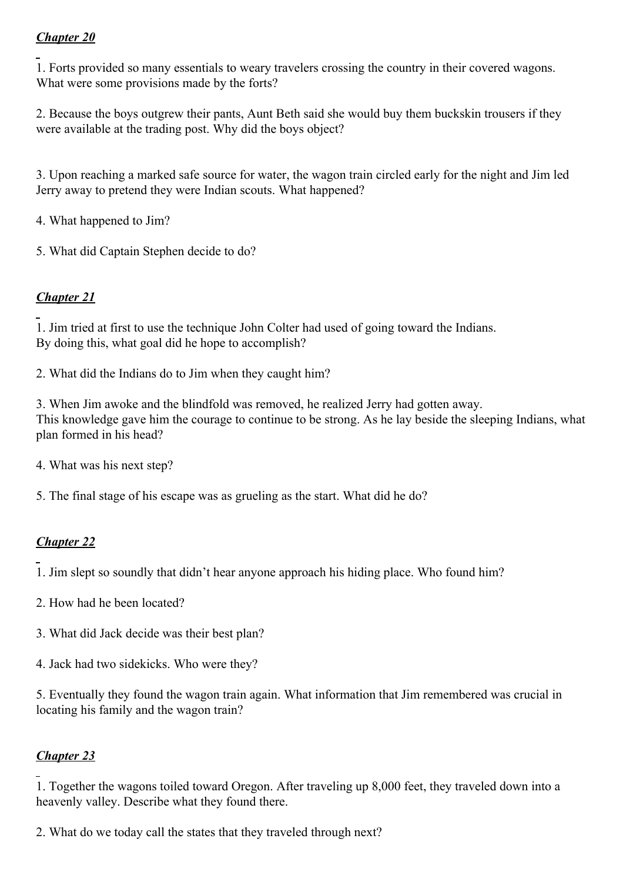1. Forts provided so many essentials to weary travelers crossing the country in their covered wagons. What were some provisions made by the forts?

2. Because the boys outgrew their pants, Aunt Beth said she would buy them buckskin trousers if they were available at the trading post. Why did the boys object?

3. Upon reaching a marked safe source for water, the wagon train circled early for the night and Jim led Jerry away to pretend they were Indian scouts. What happened?

4. What happened to Jim?

5. What did Captain Stephen decide to do?

# *Chapter 21*

1. Jim tried at first to use the technique John Colter had used of going toward the Indians. By doing this, what goal did he hope to accomplish?

2. What did the Indians do to Jim when they caught him?

3. When Jim awoke and the blindfold was removed, he realized Jerry had gotten away. This knowledge gave him the courage to continue to be strong. As he lay beside the sleeping Indians, what plan formed in his head?

4. What was his next step?

5. The final stage of his escape was as grueling as the start. What did he do?

# *Chapter 22*

1. Jim slept so soundly that didn't hear anyone approach his hiding place. Who found him?

- 2. How had he been located?
- 3. What did Jack decide was their best plan?
- 4. Jack had two sidekicks. Who were they?

5. Eventually they found the wagon train again. What information that Jim remembered was crucial in locating his family and the wagon train?

# *Chapter 23*

1. Together the wagons toiled toward Oregon. After traveling up 8,000 feet, they traveled down into a heavenly valley. Describe what they found there.

2. What do we today call the states that they traveled through next?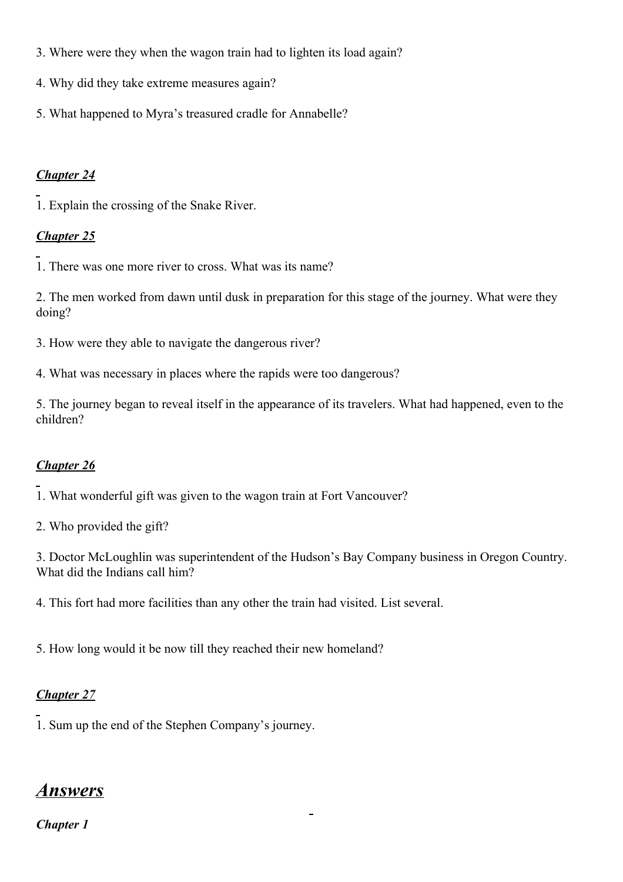- 3. Where were they when the wagon train had to lighten its load again?
- 4. Why did they take extreme measures again?
- 5. What happened to Myra's treasured cradle for Annabelle?

1. Explain the crossing of the Snake River.

# *Chapter 25*

1. There was one more river to cross. What was its name?

2. The men worked from dawn until dusk in preparation for this stage of the journey. What were they doing?

- 3. How were they able to navigate the dangerous river?
- 4. What was necessary in places where the rapids were too dangerous?

5. The journey began to reveal itself in the appearance of its travelers. What had happened, even to the children?

# *Chapter 26*

1. What wonderful gift was given to the wagon train at Fort Vancouver?

2. Who provided the gift?

3. Doctor McLoughlin was superintendent of the Hudson's Bay Company business in Oregon Country. What did the Indians call him?

4. This fort had more facilities than any other the train had visited. List several.

5. How long would it be now till they reached their new homeland?

# *Chapter 27*

1. Sum up the end of the Stephen Company's journey.

# *Answers*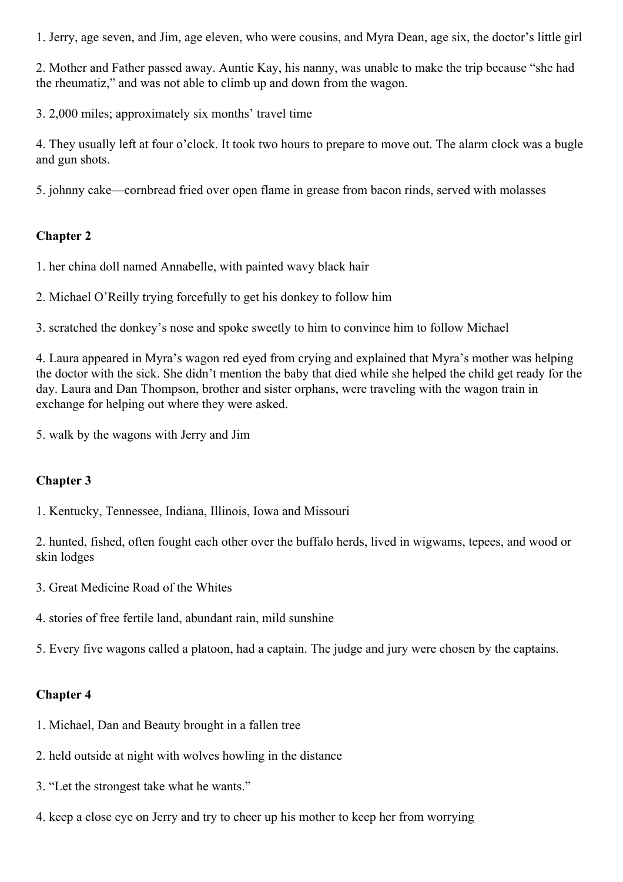1. Jerry, age seven, and Jim, age eleven, who were cousins, and Myra Dean, age six, the doctor's little girl

2. Mother and Father passed away. Auntie Kay, his nanny, was unable to make the trip because "she had the rheumatiz," and was not able to climb up and down from the wagon.

3. 2,000 miles; approximately six months' travel time

4. They usually left at four o'clock. It took two hours to prepare to move out. The alarm clock was a bugle and gun shots.

5. johnny cake—cornbread fried over open flame in grease from bacon rinds, served with molasses

## **Chapter 2**

1. her china doll named Annabelle, with painted wavy black hair

2. Michael O'Reilly trying forcefully to get his donkey to follow him

3. scratched the donkey's nose and spoke sweetly to him to convince him to follow Michael

4. Laura appeared in Myra's wagon red eyed from crying and explained that Myra's mother was helping the doctor with the sick. She didn't mention the baby that died while she helped the child get ready for the day. Laura and Dan Thompson, brother and sister orphans, were traveling with the wagon train in exchange for helping out where they were asked.

5. walk by the wagons with Jerry and Jim

## **Chapter 3**

1. Kentucky, Tennessee, Indiana, Illinois, Iowa and Missouri

2. hunted, fished, often fought each other over the buffalo herds, lived in wigwams, tepees, and wood or skin lodges

- 3. Great Medicine Road of the Whites
- 4. stories of free fertile land, abundant rain, mild sunshine

5. Every five wagons called a platoon, had a captain. The judge and jury were chosen by the captains.

- 1. Michael, Dan and Beauty brought in a fallen tree
- 2. held outside at night with wolves howling in the distance
- 3. "Let the strongest take what he wants."
- 4. keep a close eye on Jerry and try to cheer up his mother to keep her from worrying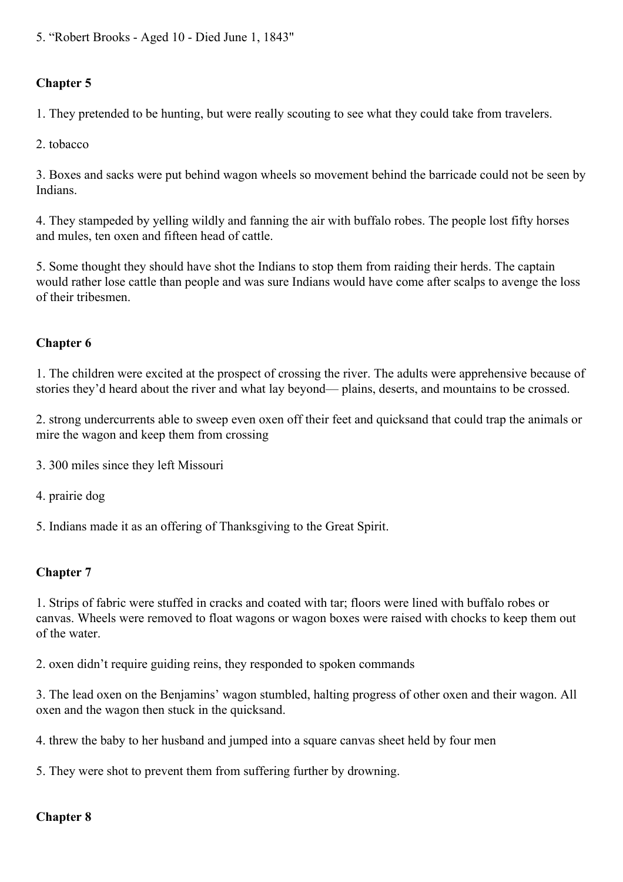5. "Robert Brooks - Aged 10 - Died June 1, 1843"

# **Chapter 5**

1. They pretended to be hunting, but were really scouting to see what they could take from travelers.

2. tobacco

3. Boxes and sacks were put behind wagon wheels so movement behind the barricade could not be seen by Indians.

4. They stampeded by yelling wildly and fanning the air with buffalo robes. The people lost fifty horses and mules, ten oxen and fifteen head of cattle.

5. Some thought they should have shot the Indians to stop them from raiding their herds. The captain would rather lose cattle than people and was sure Indians would have come after scalps to avenge the loss of their tribesmen.

## **Chapter 6**

1. The children were excited at the prospect of crossing the river. The adults were apprehensive because of stories they'd heard about the river and what lay beyond— plains, deserts, and mountains to be crossed.

2. strong undercurrents able to sweep even oxen off their feet and quicksand that could trap the animals or mire the wagon and keep them from crossing

- 3. 300 miles since they left Missouri
- 4. prairie dog

5. Indians made it as an offering of Thanksgiving to the Great Spirit.

## **Chapter 7**

1. Strips of fabric were stuffed in cracks and coated with tar; floors were lined with buffalo robes or canvas. Wheels were removed to float wagons or wagon boxes were raised with chocks to keep them out of the water.

2. oxen didn't require guiding reins, they responded to spoken commands

3. The lead oxen on the Benjamins' wagon stumbled, halting progress of other oxen and their wagon. All oxen and the wagon then stuck in the quicksand.

4. threw the baby to her husband and jumped into a square canvas sheet held by four men

5. They were shot to prevent them from suffering further by drowning.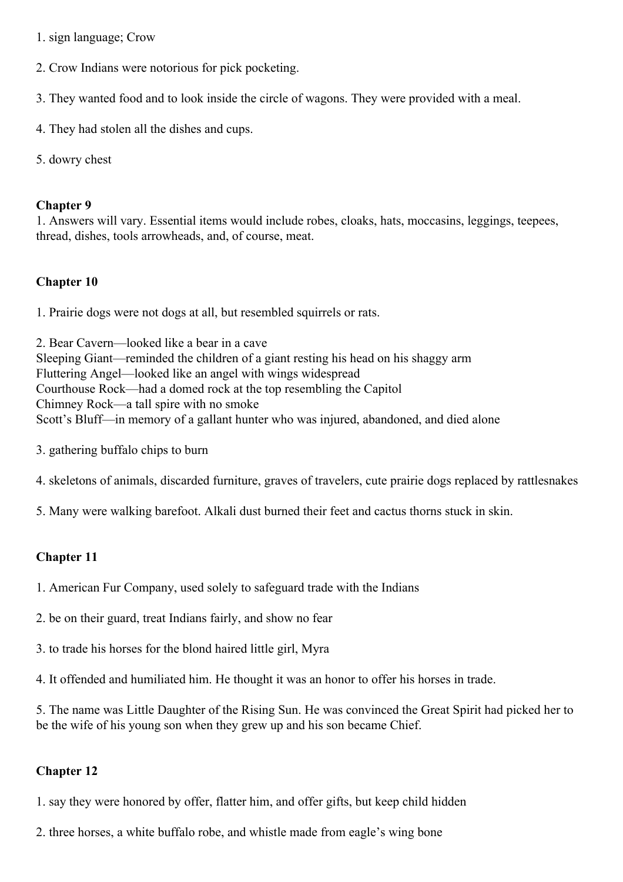- 1. sign language; Crow
- 2. Crow Indians were notorious for pick pocketing.
- 3. They wanted food and to look inside the circle of wagons. They were provided with a meal.
- 4. They had stolen all the dishes and cups.
- 5. dowry chest

1. Answers will vary. Essential items would include robes, cloaks, hats, moccasins, leggings, teepees, thread, dishes, tools arrowheads, and, of course, meat.

#### **Chapter 10**

1. Prairie dogs were not dogs at all, but resembled squirrels or rats.

2. Bear Cavern—looked like a bear in a cave Sleeping Giant—reminded the children of a giant resting his head on his shaggy arm Fluttering Angel—looked like an angel with wings widespread Courthouse Rock—had a domed rock at the top resembling the Capitol Chimney Rock—a tall spire with no smoke Scott's Bluff—in memory of a gallant hunter who was injured, abandoned, and died alone

- 3. gathering buffalo chips to burn
- 4. skeletons of animals, discarded furniture, graves of travelers, cute prairie dogs replaced by rattlesnakes
- 5. Many were walking barefoot. Alkali dust burned their feet and cactus thorns stuck in skin.

## **Chapter 11**

- 1. American Fur Company, used solely to safeguard trade with the Indians
- 2. be on their guard, treat Indians fairly, and show no fear
- 3. to trade his horses for the blond haired little girl, Myra
- 4. It offended and humiliated him. He thought it was an honor to offer his horses in trade.

5. The name was Little Daughter of the Rising Sun. He was convinced the Great Spirit had picked her to be the wife of his young son when they grew up and his son became Chief.

## **Chapter 12**

1. say they were honored by offer, flatter him, and offer gifts, but keep child hidden

2. three horses, a white buffalo robe, and whistle made from eagle's wing bone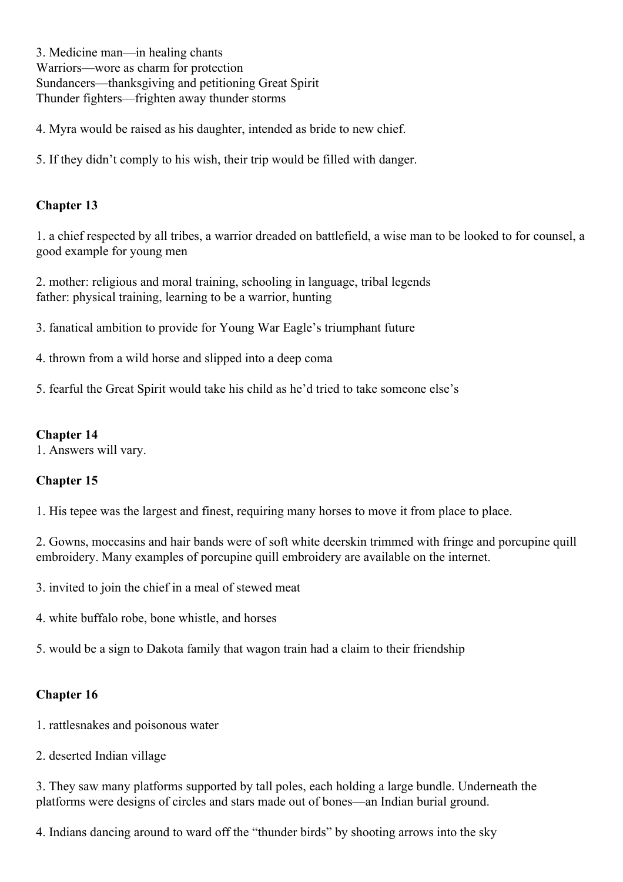3. Medicine man—in healing chants Warriors—wore as charm for protection Sundancers—thanksgiving and petitioning Great Spirit Thunder fighters—frighten away thunder storms

4. Myra would be raised as his daughter, intended as bride to new chief.

5. If they didn't comply to his wish, their trip would be filled with danger.

## **Chapter 13**

1. a chief respected by all tribes, a warrior dreaded on battlefield, a wise man to be looked to for counsel, a good example for young men

2. mother: religious and moral training, schooling in language, tribal legends father: physical training, learning to be a warrior, hunting

3. fanatical ambition to provide for Young War Eagle's triumphant future

- 4. thrown from a wild horse and slipped into a deep coma
- 5. fearful the Great Spirit would take his child as he'd tried to take someone else's

#### **Chapter 14**

1. Answers will vary.

## **Chapter 15**

1. His tepee was the largest and finest, requiring many horses to move it from place to place.

2. Gowns, moccasins and hair bands were of soft white deerskin trimmed with fringe and porcupine quill embroidery. Many examples of porcupine quill embroidery are available on the internet.

3. invited to join the chief in a meal of stewed meat

4. white buffalo robe, bone whistle, and horses

5. would be a sign to Dakota family that wagon train had a claim to their friendship

## **Chapter 16**

- 1. rattlesnakes and poisonous water
- 2. deserted Indian village

3. They saw many platforms supported by tall poles, each holding a large bundle. Underneath the platforms were designs of circles and stars made out of bones—an Indian burial ground.

4. Indians dancing around to ward off the "thunder birds" by shooting arrows into the sky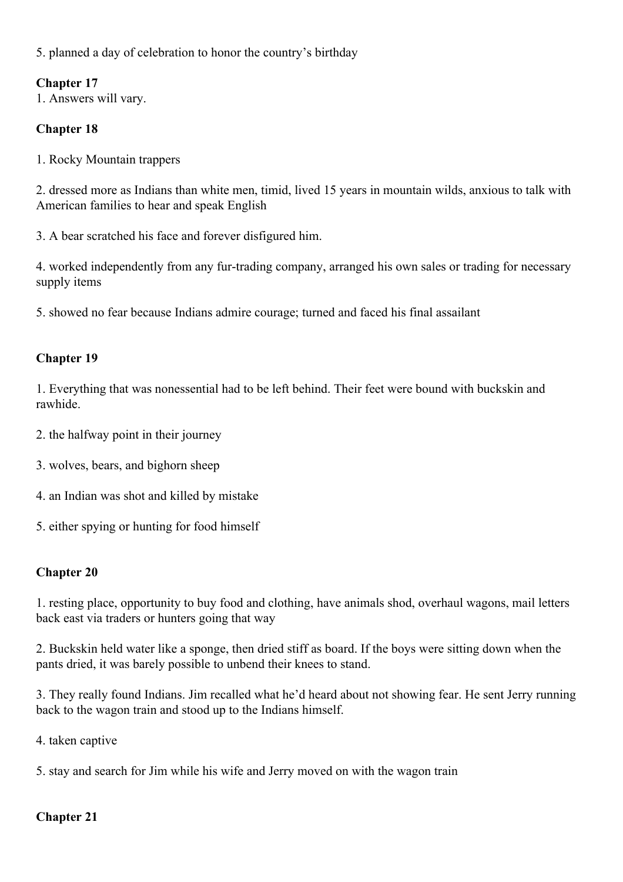5. planned a day of celebration to honor the country's birthday

## **Chapter 17**

1. Answers will vary.

## **Chapter 18**

1. Rocky Mountain trappers

2. dressed more as Indians than white men, timid, lived 15 years in mountain wilds, anxious to talk with American families to hear and speak English

3. A bear scratched his face and forever disfigured him.

4. worked independently from any fur-trading company, arranged his own sales or trading for necessary supply items

5. showed no fear because Indians admire courage; turned and faced his final assailant

## **Chapter 19**

1. Everything that was nonessential had to be left behind. Their feet were bound with buckskin and rawhide.

- 2. the halfway point in their journey
- 3. wolves, bears, and bighorn sheep
- 4. an Indian was shot and killed by mistake
- 5. either spying or hunting for food himself

## **Chapter 20**

1. resting place, opportunity to buy food and clothing, have animals shod, overhaul wagons, mail letters back east via traders or hunters going that way

2. Buckskin held water like a sponge, then dried stiff as board. If the boys were sitting down when the pants dried, it was barely possible to unbend their knees to stand.

3. They really found Indians. Jim recalled what he'd heard about not showing fear. He sent Jerry running back to the wagon train and stood up to the Indians himself.

4. taken captive

5. stay and search for Jim while his wife and Jerry moved on with the wagon train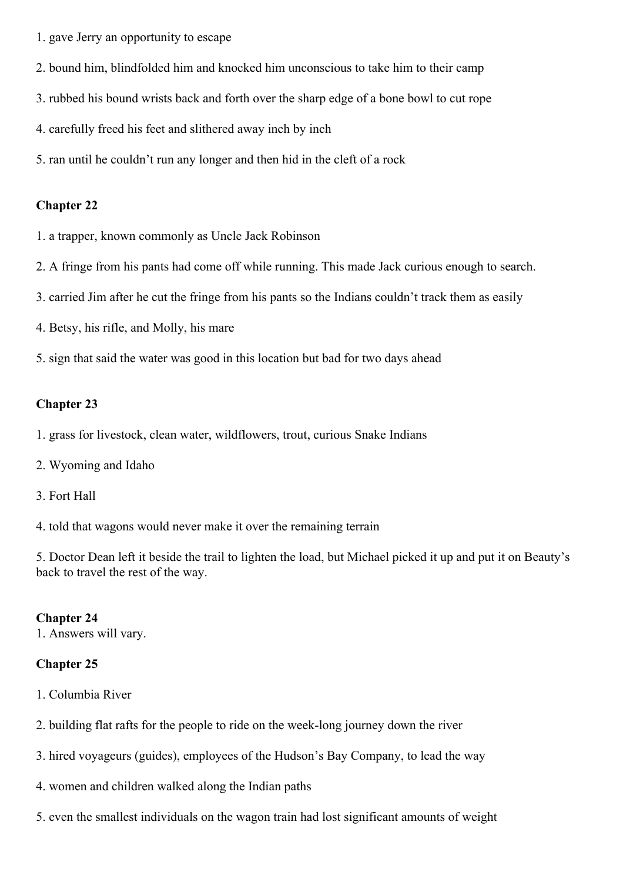- 1. gave Jerry an opportunity to escape
- 2. bound him, blindfolded him and knocked him unconscious to take him to their camp
- 3. rubbed his bound wrists back and forth over the sharp edge of a bone bowl to cut rope
- 4. carefully freed his feet and slithered away inch by inch
- 5. ran until he couldn't run any longer and then hid in the cleft of a rock

- 1. a trapper, known commonly as Uncle Jack Robinson
- 2. A fringe from his pants had come off while running. This made Jack curious enough to search.
- 3. carried Jim after he cut the fringe from his pants so the Indians couldn't track them as easily
- 4. Betsy, his rifle, and Molly, his mare
- 5. sign that said the water was good in this location but bad for two days ahead

#### **Chapter 23**

- 1. grass for livestock, clean water, wildflowers, trout, curious Snake Indians
- 2. Wyoming and Idaho
- 3. Fort Hall
- 4. told that wagons would never make it over the remaining terrain

5. Doctor Dean left it beside the trail to lighten the load, but Michael picked it up and put it on Beauty's back to travel the rest of the way.

#### **Chapter 24**

1. Answers will vary.

- 1. Columbia River
- 2. building flat rafts for the people to ride on the week-long journey down the river
- 3. hired voyageurs (guides), employees of the Hudson's Bay Company, to lead the way
- 4. women and children walked along the Indian paths
- 5. even the smallest individuals on the wagon train had lost significant amounts of weight